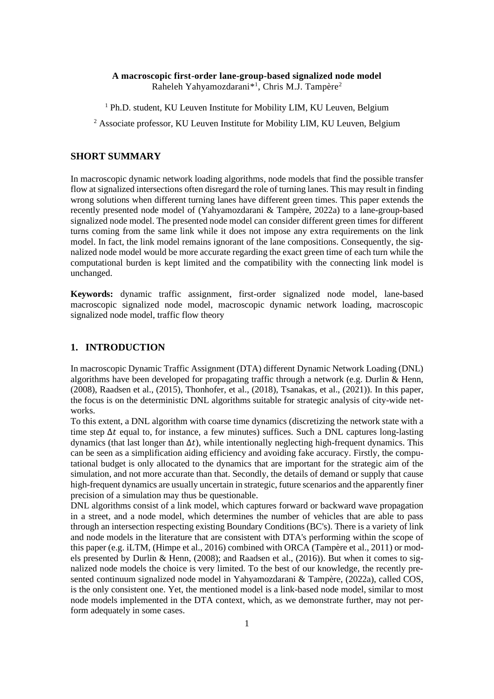# **A macroscopic first-order lane-group-based signalized node model** Raheleh Yahyamozdarani<sup>\*1</sup>, Chris M.J. Tampère<sup>2</sup>

<sup>1</sup> Ph.D. student, KU Leuven Institute for Mobility LIM, KU Leuven, Belgium

<sup>2</sup> Associate professor, KU Leuven Institute for Mobility LIM, KU Leuven, Belgium

#### **SHORT SUMMARY**

In macroscopic dynamic network loading algorithms, node models that find the possible transfer flow at signalized intersections often disregard the role of turning lanes. This may result in finding wrong solutions when different turning lanes have different green times. This paper extends the recently presented node model of (Yahyamozdarani & Tampère, 2022a) to a lane-group-based signalized node model. The presented node model can consider different green times for different turns coming from the same link while it does not impose any extra requirements on the link model. In fact, the link model remains ignorant of the lane compositions. Consequently, the signalized node model would be more accurate regarding the exact green time of each turn while the computational burden is kept limited and the compatibility with the connecting link model is unchanged.

**Keywords:** dynamic traffic assignment, first-order signalized node model, lane-based macroscopic signalized node model, macroscopic dynamic network loading, macroscopic signalized node model, traffic flow theory

# **1. INTRODUCTION**

In macroscopic Dynamic Traffic Assignment (DTA) different Dynamic Network Loading (DNL) algorithms have been developed for propagating traffic through a network (e.g. Durlin & Henn, (2008), Raadsen et al., (2015), Thonhofer, et al., (2018), Tsanakas, et al., (2021)). In this paper, the focus is on the deterministic DNL algorithms suitable for strategic analysis of city-wide networks.

To this extent, a DNL algorithm with coarse time dynamics (discretizing the network state with a time step  $\Delta t$  equal to, for instance, a few minutes) suffices. Such a DNL captures long-lasting dynamics (that last longer than  $Δt$ ), while intentionally neglecting high-frequent dynamics. This can be seen as a simplification aiding efficiency and avoiding fake accuracy. Firstly, the computational budget is only allocated to the dynamics that are important for the strategic aim of the simulation, and not more accurate than that. Secondly, the details of demand or supply that cause high-frequent dynamics are usually uncertain in strategic, future scenarios and the apparently finer precision of a simulation may thus be questionable.

DNL algorithms consist of a link model, which captures forward or backward wave propagation in a street, and a node model, which determines the number of vehicles that are able to pass through an intersection respecting existing Boundary Conditions (BC's). There is a variety of link and node models in the literature that are consistent with DTA's performing within the scope of this paper (e.g. iLTM, (Himpe et al., 2016) combined with ORCA (Tampère et al., 2011) or models presented by Durlin & Henn, (2008); and Raadsen et al., (2016)). But when it comes to signalized node models the choice is very limited. To the best of our knowledge, the recently presented continuum signalized node model in Yahyamozdarani & Tampère, (2022a), called COS, is the only consistent one. Yet, the mentioned model is a link-based node model, similar to most node models implemented in the DTA context, which, as we demonstrate further, may not perform adequately in some cases.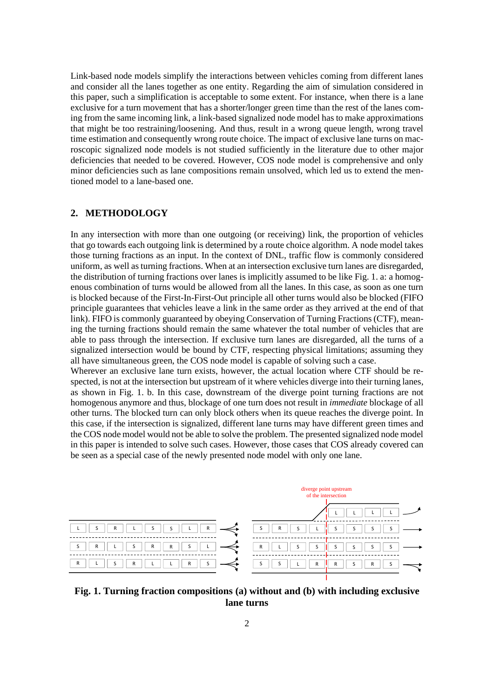Link-based node models simplify the interactions between vehicles coming from different lanes and consider all the lanes together as one entity. Regarding the aim of simulation considered in this paper, such a simplification is acceptable to some extent. For instance, when there is a lane exclusive for a turn movement that has a shorter/longer green time than the rest of the lanes coming from the same incoming link, a link-based signalized node model has to make approximations that might be too restraining/loosening. And thus, result in a wrong queue length, wrong travel time estimation and consequently wrong route choice. The impact of exclusive lane turns on macroscopic signalized node models is not studied sufficiently in the literature due to other major deficiencies that needed to be covered. However, COS node model is comprehensive and only minor deficiencies such as lane compositions remain unsolved, which led us to extend the mentioned model to a lane-based one.

## **2. METHODOLOGY**

In any intersection with more than one outgoing (or receiving) link, the proportion of vehicles that go towards each outgoing link is determined by a route choice algorithm. A node model takes those turning fractions as an input. In the context of DNL, traffic flow is commonly considered uniform, as well as turning fractions. When at an intersection exclusive turn lanes are disregarded, the distribution of turning fractions over lanes is implicitly assumed to be lik[e Fig. 1.](#page-1-0) a: a homogenous combination of turns would be allowed from all the lanes. In this case, as soon as one turn is blocked because of the First-In-First-Out principle all other turns would also be blocked (FIFO principle guarantees that vehicles leave a link in the same order as they arrived at the end of that link). FIFO is commonly guaranteed by obeying Conservation of Turning Fractions (CTF), meaning the turning fractions should remain the same whatever the total number of vehicles that are able to pass through the intersection. If exclusive turn lanes are disregarded, all the turns of a signalized intersection would be bound by CTF, respecting physical limitations; assuming they all have simultaneous green, the COS node model is capable of solving such a case.

Wherever an exclusive lane turn exists, however, the actual location where CTF should be respected, is not at the intersection but upstream of it where vehicles diverge into their turning lanes, as shown in [Fig. 1.](#page-1-0) b. In this case, downstream of the diverge point turning fractions are not homogenous anymore and thus, blockage of one turn does not result in *immediate* blockage of all other turns. The blocked turn can only block others when its queue reaches the diverge point. In this case, if the intersection is signalized, different lane turns may have different green times and the COS node model would not be able to solve the problem. The presented signalized node model in this paper is intended to solve such cases. However, those cases that COS already covered can be seen as a special case of the newly presented node model with only one lane.



<span id="page-1-0"></span>**Fig. 1. Turning fraction compositions (a) without and (b) with including exclusive lane turns**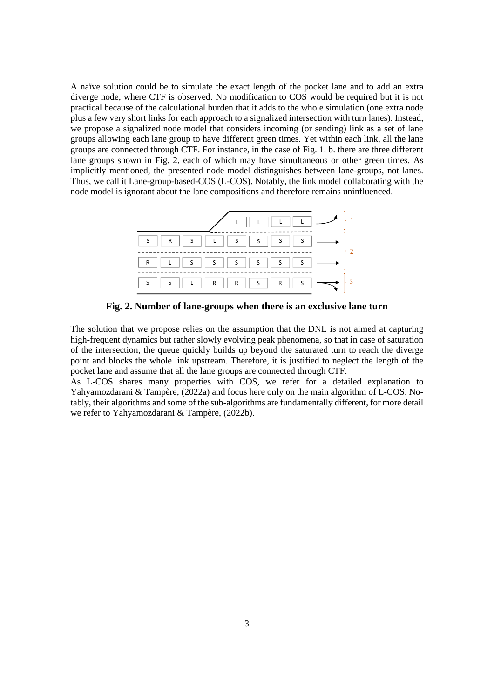A naïve solution could be to simulate the exact length of the pocket lane and to add an extra diverge node, where CTF is observed. No modification to COS would be required but it is not practical because of the calculational burden that it adds to the whole simulation (one extra node plus a few very short links for each approach to a signalized intersection with turn lanes). Instead, we propose a signalized node model that considers incoming (or sending) link as a set of lane groups allowing each lane group to have different green times. Yet within each link, all the lane groups are connected through CTF. For instance, in the case o[f Fig. 1.](#page-1-0) b. there are three different lane groups shown in [Fig. 2,](#page-2-0) each of which may have simultaneous or other green times. As implicitly mentioned, the presented node model distinguishes between lane-groups, not lanes. Thus, we call it Lane-group-based-COS (L-COS). Notably, the link model collaborating with the node model is ignorant about the lane compositions and therefore remains uninfluenced.



**Fig. 2. Number of lane-groups when there is an exclusive lane turn**

<span id="page-2-0"></span>The solution that we propose relies on the assumption that the DNL is not aimed at capturing high-frequent dynamics but rather slowly evolving peak phenomena, so that in case of saturation of the intersection, the queue quickly builds up beyond the saturated turn to reach the diverge point and blocks the whole link upstream. Therefore, it is justified to neglect the length of the pocket lane and assume that all the lane groups are connected through CTF.

As L-COS shares many properties with COS, we refer for a detailed explanation to Yahyamozdarani & Tampère, (2022a) and focus here only on the main algorithm of L-COS. Notably, their algorithms and some of the sub-algorithms are fundamentally different, for more detail we refer to Yahyamozdarani & Tampère, (2022b).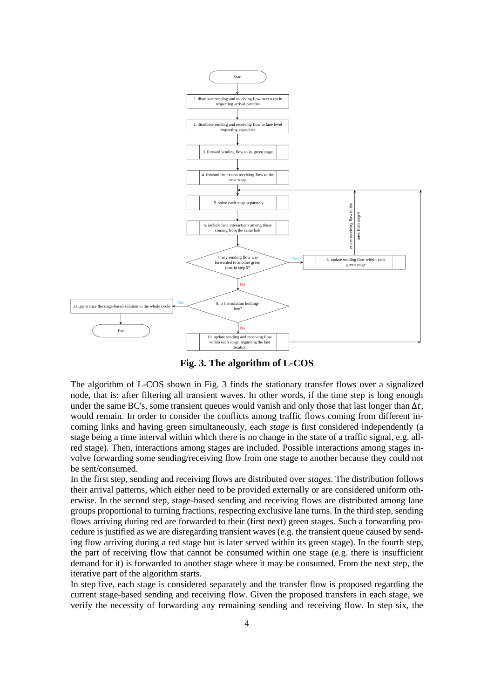

**Fig. 3. The algorithm of L-COS**

<span id="page-3-0"></span>The algorithm of L-COS shown in [Fig. 3](#page-3-0) finds the stationary transfer flows over a signalized node, that is: after filtering all transient waves. In other words, if the time step is long enough under the same BC's, some transient queues would vanish and only those that last longer than  $\Delta t$ , would remain. In order to consider the conflicts among traffic flows coming from different incoming links and having green simultaneously, each *stage* is first considered independently (a stage being a time interval within which there is no change in the state of a traffic signal, e.g. allred stage). Then, interactions among stages are included. Possible interactions among stages involve forwarding some sending/receiving flow from one stage to another because they could not be sent/consumed.

In the first step, sending and receiving flows are distributed over *stages*. The distribution follows their arrival patterns, which either need to be provided externally or are considered uniform otherwise. In the second step, stage-based sending and receiving flows are distributed among lane groups proportional to turning fractions, respecting exclusive lane turns. In the third step, sending flows arriving during red are forwarded to their (first next) green stages. Such a forwarding procedure is justified as we are disregarding transient waves (e.g. the transient queue caused by sending flow arriving during a red stage but is later served within its green stage). In the fourth step, the part of receiving flow that cannot be consumed within one stage (e.g. there is insufficient demand for it) is forwarded to another stage where it may be consumed. From the next step, the iterative part of the algorithm starts.

In step five, each stage is considered separately and the transfer flow is proposed regarding the current stage-based sending and receiving flow. Given the proposed transfers in each stage, we verify the necessity of forwarding any remaining sending and receiving flow. In step six, the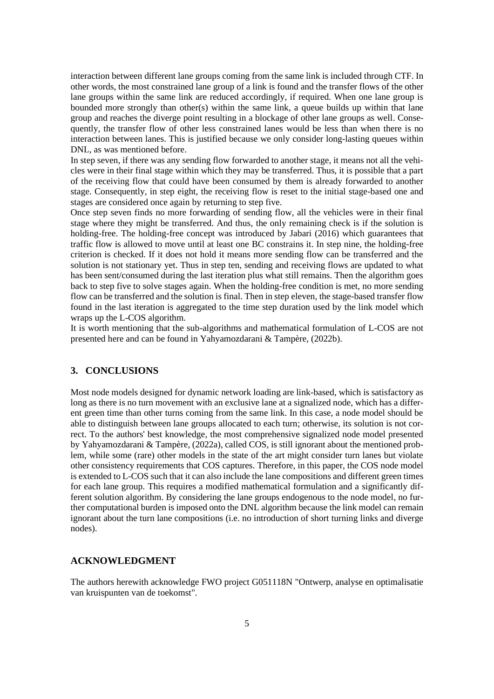interaction between different lane groups coming from the same link is included through CTF. In other words, the most constrained lane group of a link is found and the transfer flows of the other lane groups within the same link are reduced accordingly, if required. When one lane group is bounded more strongly than other(s) within the same link, a queue builds up within that lane group and reaches the diverge point resulting in a blockage of other lane groups as well. Consequently, the transfer flow of other less constrained lanes would be less than when there is no interaction between lanes. This is justified because we only consider long-lasting queues within DNL, as was mentioned before.

In step seven, if there was any sending flow forwarded to another stage, it means not all the vehicles were in their final stage within which they may be transferred. Thus, it is possible that a part of the receiving flow that could have been consumed by them is already forwarded to another stage. Consequently, in step eight, the receiving flow is reset to the initial stage-based one and stages are considered once again by returning to step five.

Once step seven finds no more forwarding of sending flow, all the vehicles were in their final stage where they might be transferred. And thus, the only remaining check is if the solution is holding-free. The holding-free concept was introduced by Jabari (2016) which guarantees that traffic flow is allowed to move until at least one BC constrains it. In step nine, the holding-free criterion is checked. If it does not hold it means more sending flow can be transferred and the solution is not stationary yet. Thus in step ten, sending and receiving flows are updated to what has been sent/consumed during the last iteration plus what still remains. Then the algorithm goes back to step five to solve stages again. When the holding-free condition is met, no more sending flow can be transferred and the solution is final. Then in step eleven, the stage-based transfer flow found in the last iteration is aggregated to the time step duration used by the link model which wraps up the L-COS algorithm.

It is worth mentioning that the sub-algorithms and mathematical formulation of L-COS are not presented here and can be found in Yahyamozdarani & Tampère, (2022b).

### **3. CONCLUSIONS**

Most node models designed for dynamic network loading are link-based, which is satisfactory as long as there is no turn movement with an exclusive lane at a signalized node, which has a different green time than other turns coming from the same link. In this case, a node model should be able to distinguish between lane groups allocated to each turn; otherwise, its solution is not correct. To the authors' best knowledge, the most comprehensive signalized node model presented by Yahyamozdarani & Tampère, (2022a), called COS, is still ignorant about the mentioned problem, while some (rare) other models in the state of the art might consider turn lanes but violate other consistency requirements that COS captures. Therefore, in this paper, the COS node model is extended to L-COS such that it can also include the lane compositions and different green times for each lane group. This requires a modified mathematical formulation and a significantly different solution algorithm. By considering the lane groups endogenous to the node model, no further computational burden is imposed onto the DNL algorithm because the link model can remain ignorant about the turn lane compositions (i.e. no introduction of short turning links and diverge nodes).

### **ACKNOWLEDGMENT**

The authors herewith acknowledge FWO project G051118N "Ontwerp, analyse en optimalisatie van kruispunten van de toekomst".